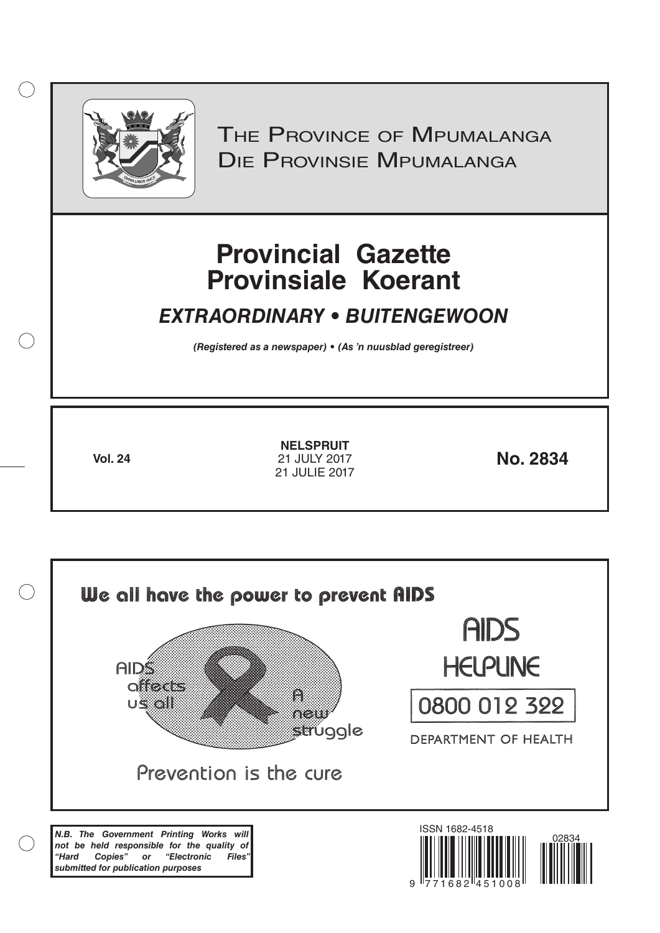

 $( )$ 

THE PROVINCE OF MPUMALANGA Die Provinsie Mpumalanga

# **Provincial Gazette Provinsiale Koerant**

## *EXTRAORDINARY • BUITENGEWOON*

*(Registered as a newspaper) • (As 'n nuusblad geregistreer)*

**Vol. 24 No. 2834** 21 JULY 2017 **NELSPRUIT** 21 JULIE 2017

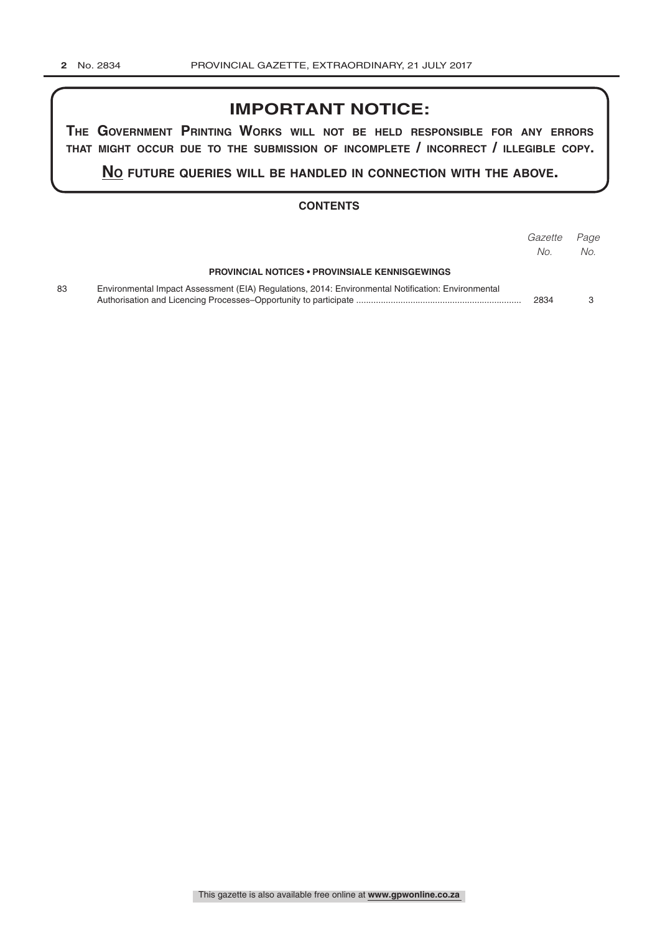## **IMPORTANT NOTICE:**

**The GovernmenT PrinTinG Works Will noT be held resPonsible for any errors ThaT miGhT occur due To The submission of incomPleTe / incorrecT / illeGible coPy.**

**no fuTure queries Will be handled in connecTion WiTh The above.**

#### **CONTENTS**

|    |                                                                                                    | Gazette<br>No. | Page<br>No. |
|----|----------------------------------------------------------------------------------------------------|----------------|-------------|
|    | <b>PROVINCIAL NOTICES • PROVINSIALE KENNISGEWINGS</b>                                              |                |             |
| 83 | Environmental Impact Assessment (EIA) Regulations, 2014: Environmental Notification: Environmental | 2834           |             |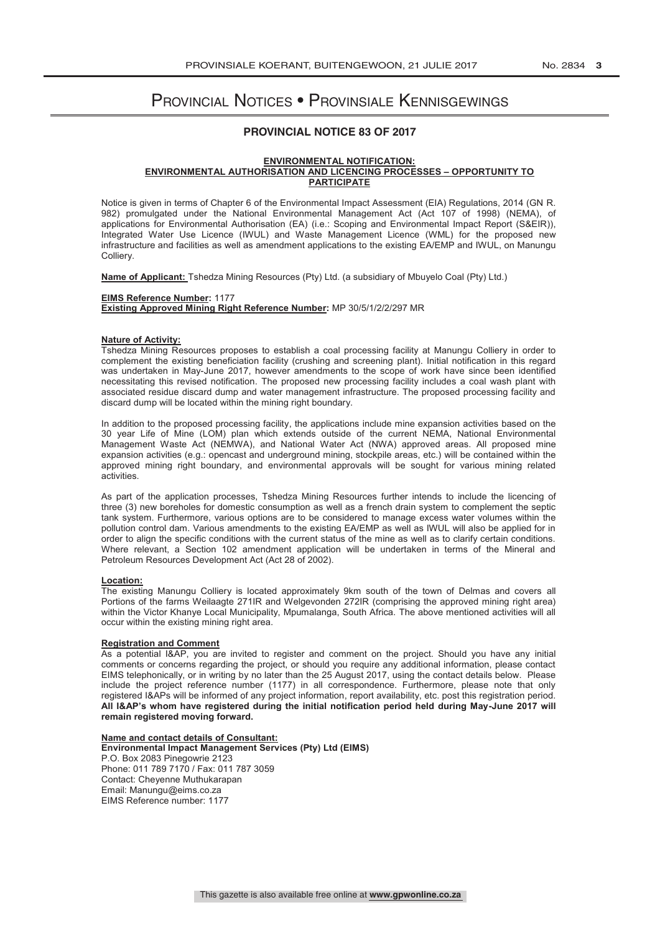### Provincial Notices • Provinsiale Kennisgewings

#### **PROVINCIAL NOTICE 83 OF 2017**

#### **ENVIRONMENTAL NOTIFICATION: ENVIRONMENTAL AUTHORISATION AND LICENCING PROCESSES – OPPORTUNITY TO PARTICIPATE**

Notice is given in terms of Chapter 6 of the Environmental Impact Assessment (EIA) Regulations, 2014 (GN R. 982) promulgated under the National Environmental Management Act (Act 107 of 1998) (NEMA), of applications for Environmental Authorisation (EA) (i.e.: Scoping and Environmental Impact Report (S&EIR)), Integrated Water Use Licence (IWUL) and Waste Management Licence (WML) for the proposed new infrastructure and facilities as well as amendment applications to the existing EA/EMP and IWUL, on Manungu Colliery.

**Name of Applicant:** Tshedza Mining Resources (Pty) Ltd. (a subsidiary of Mbuyelo Coal (Pty) Ltd.)

#### **EIMS Reference Number:** 1177 **Existing Approved Mining Right Reference Number:** MP 30/5/1/2/2/297 MR

#### **Nature of Activity:**

Tshedza Mining Resources proposes to establish a coal processing facility at Manungu Colliery in order to complement the existing beneficiation facility (crushing and screening plant). Initial notification in this regard was undertaken in May-June 2017, however amendments to the scope of work have since been identified necessitating this revised notification. The proposed new processing facility includes a coal wash plant with associated residue discard dump and water management infrastructure. The proposed processing facility and discard dump will be located within the mining right boundary.

In addition to the proposed processing facility, the applications include mine expansion activities based on the 30 year Life of Mine (LOM) plan which extends outside of the current NEMA, National Environmental Management Waste Act (NEMWA), and National Water Act (NWA) approved areas. All proposed mine expansion activities (e.g.: opencast and underground mining, stockpile areas, etc.) will be contained within the approved mining right boundary, and environmental approvals will be sought for various mining related activities.

As part of the application processes, Tshedza Mining Resources further intends to include the licencing of three (3) new boreholes for domestic consumption as well as a french drain system to complement the septic tank system. Furthermore, various options are to be considered to manage excess water volumes within the pollution control dam. Various amendments to the existing EA/EMP as well as IWUL will also be applied for in order to align the specific conditions with the current status of the mine as well as to clarify certain conditions. Where relevant, a Section 102 amendment application will be undertaken in terms of the Mineral and Petroleum Resources Development Act (Act 28 of 2002).

#### **Location:**

The existing Manungu Colliery is located approximately 9km south of the town of Delmas and covers all Portions of the farms Weilaagte 271IR and Welgevonden 272IR (comprising the approved mining right area) within the Victor Khanye Local Municipality, Mpumalanga, South Africa. The above mentioned activities will all occur within the existing mining right area.

#### **Registration and Comment**

As a potential I&AP, you are invited to register and comment on the project. Should you have any initial comments or concerns regarding the project, or should you require any additional information, please contact EIMS telephonically, or in writing by no later than the 25 August 2017, using the contact details below. Please include the project reference number (1177) in all correspondence. Furthermore, please note that only registered I&APs will be informed of any project information, report availability, etc. post this registration period. **All I&AP's whom have registered during the initial notification period held during May-June 2017 will remain registered moving forward.**

#### **Name and contact details of Consultant:**

**Environmental Impact Management Services (Pty) Ltd (EIMS)** P.O. Box 2083 Pinegowrie 2123 Phone: 011 789 7170 / Fax: 011 787 3059 Contact: Cheyenne Muthukarapan Email: Manungu@eims.co.za EIMS Reference number: 1177